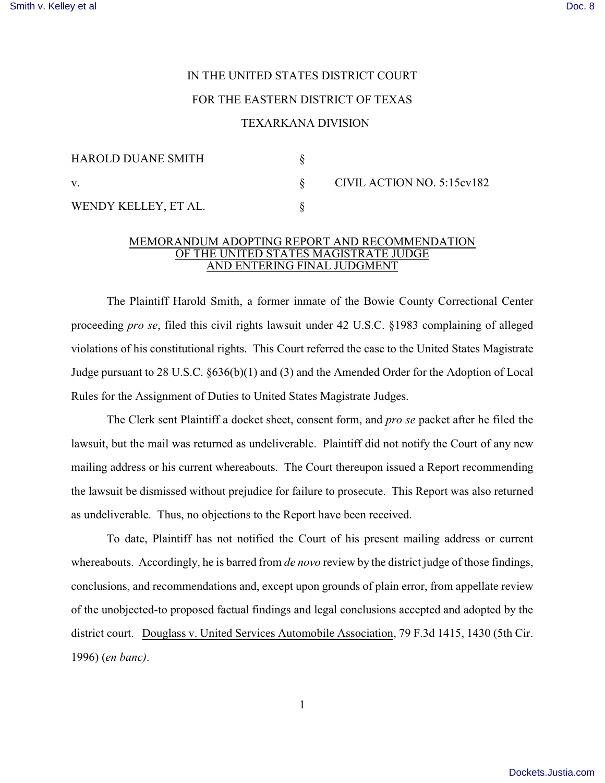## IN THE UNITED STATES DISTRICT COURT

## FOR THE EASTERN DISTRICT OF TEXAS

## TEXARKANA DIVISION

| <b>HAROLD DUANE SMITH</b> |  |
|---------------------------|--|
|                           |  |
| WENDY KELLEY, ET AL.      |  |

v. § CIVIL ACTION NO. 5:15cv182

## MEMORANDUM ADOPTING REPORT AND RECOMMENDATION OF THE UNITED STATES MAGISTRATE JUDGE AND ENTERING FINAL JUDGMENT

The Plaintiff Harold Smith, a former inmate of the Bowie County Correctional Center proceeding *pro se*, filed this civil rights lawsuit under 42 U.S.C. §1983 complaining of alleged violations of his constitutional rights. This Court referred the case to the United States Magistrate Judge pursuant to 28 U.S.C. §636(b)(1) and (3) and the Amended Order for the Adoption of Local Rules for the Assignment of Duties to United States Magistrate Judges.

The Clerk sent Plaintiff a docket sheet, consent form, and *pro se* packet after he filed the lawsuit, but the mail was returned as undeliverable. Plaintiff did not notify the Court of any new mailing address or his current whereabouts. The Court thereupon issued a Report recommending the lawsuit be dismissed without prejudice for failure to prosecute. This Report was also returned as undeliverable. Thus, no objections to the Report have been received.

To date, Plaintiff has not notified the Court of his present mailing address or current whereabouts. Accordingly, he is barred from *de novo* review by the district judge of those findings, conclusions, and recommendations and, except upon grounds of plain error, from appellate review of the unobjected-to proposed factual findings and legal conclusions accepted and adopted by the district court. Douglass v. United Services Automobile Association, 79 F.3d 1415, 1430 (5th Cir. 1996) (*en banc)*.